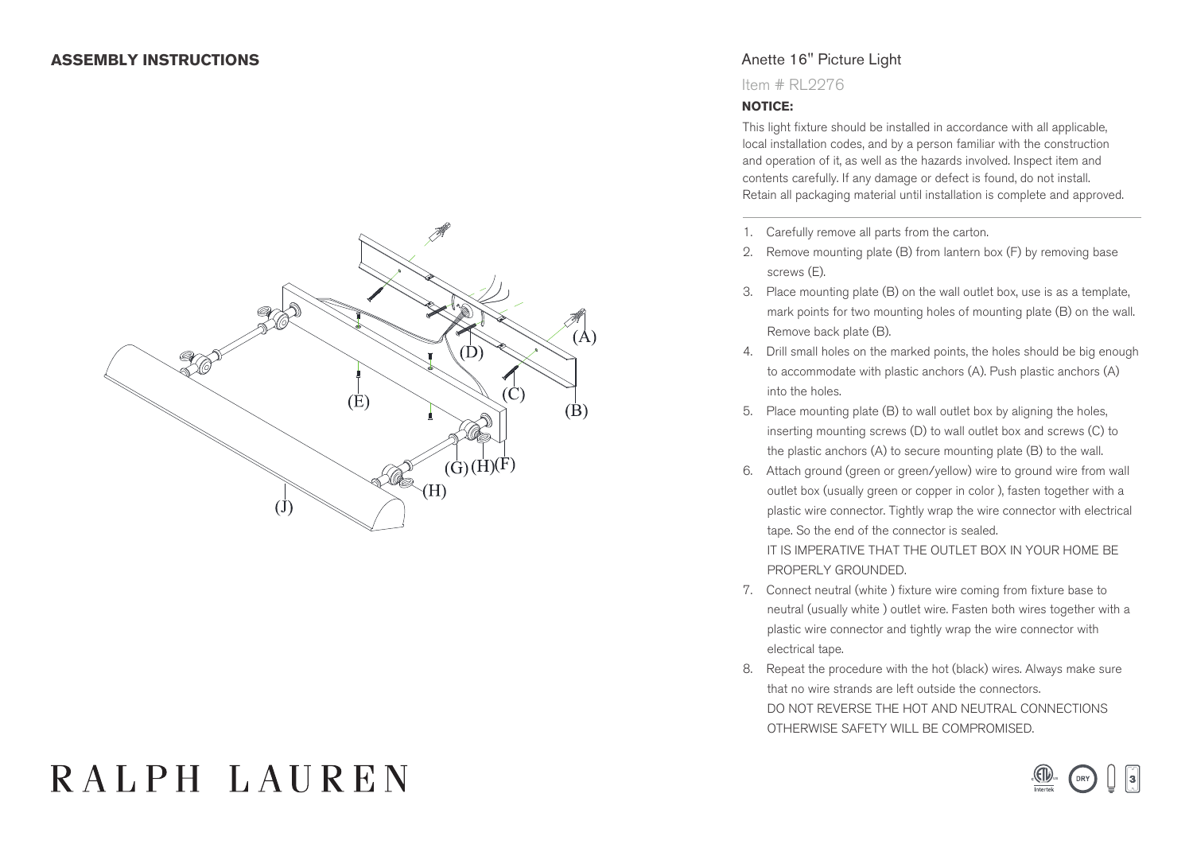

## Anette 16" Picture Light

Item # RL2276

## **NOTICE:**

This light fixture should be installed in accordance with all applicable, local installation codes, and by a person familiar with the construction and operation of it, as well as the hazards involved. Inspect item and contents carefully. If any damage or defect is found, do not install. Retain all packaging material until installation is complete and approved.

- 1. Carefully remove all parts from the carton.
- 2. Remove mounting plate (B) from lantern box (F) by removing base screws (E).
- 3. Place mounting plate (B) on the wall outlet box, use is as a template, mark points for two mounting holes of mounting plate (B) on the wall. Remove back plate (B).
- 4. Drill small holes on the marked points, the holes should be big enough to accommodate with plastic anchors (A). Push plastic anchors (A) into the holes.
- 5. Place mounting plate (B) to wall outlet box by aligning the holes, inserting mounting screws (D) to wall outlet box and screws (C) to the plastic anchors (A) to secure mounting plate (B) to the wall.
- 6. Attach ground (green or green/yellow) wire to ground wire from wall outlet box (usually green or copper in color ), fasten together with a plastic wire connector. Tightly wrap the wire connector with electrical tape. So the end of the connector is sealed.

 IT IS IMPERATIVE THAT THE OUTLET BOX IN YOUR HOME BE PROPERLY GROUNDED.

- 7. Connect neutral (white ) fixture wire coming from fixture base to neutral (usually white ) outlet wire. Fasten both wires together with a plastic wire connector and tightly wrap the wire connector with electrical tape.
- 8. Repeat the procedure with the hot (black) wires. Always make sure that no wire strands are left outside the connectors. DO NOT REVERSE THE HOT AND NEUTRAL CONNECTIONS OTHERWISE SAFETY WILL BE COMPROMISED.

# RALPH LAUREN

**US**